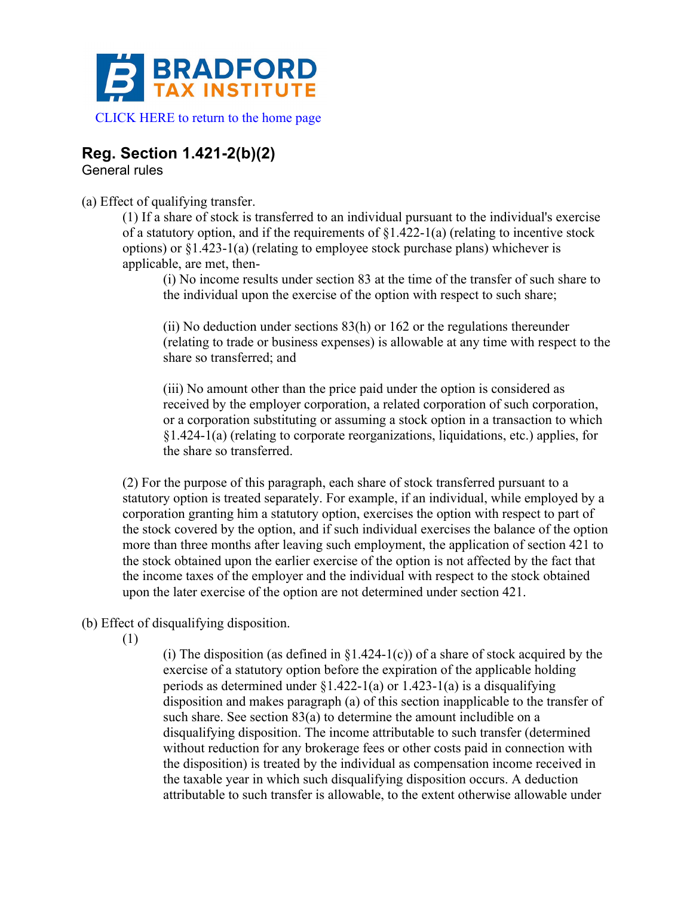

## **Reg. Section 1.421-2(b)(2)**

General rules

(a) Effect of qualifying transfer.

(1) If a share of stock is transferred to an individual pursuant to the individual's exercise of a statutory option, and if the requirements of  $\S1.422-1(a)$  (relating to incentive stock options) or §1.423-1(a) (relating to employee stock purchase plans) whichever is applicable, are met, then-

(i) No income results under section 83 at the time of the transfer of such share to the individual upon the exercise of the option with respect to such share;

(ii) No deduction under sections 83(h) or 162 or the regulations thereunder (relating to trade or business expenses) is allowable at any time with respect to the share so transferred; and

(iii) No amount other than the price paid under the option is considered as received by the employer corporation, a related corporation of such corporation, or a corporation substituting or assuming a stock option in a transaction to which §1.424-1(a) (relating to corporate reorganizations, liquidations, etc.) applies, for the share so transferred.

(2) For the purpose of this paragraph, each share of stock transferred pursuant to a statutory option is treated separately. For example, if an individual, while employed by a corporation granting him a statutory option, exercises the option with respect to part of the stock covered by the option, and if such individual exercises the balance of the option more than three months after leaving such employment, the application of section 421 to the stock obtained upon the earlier exercise of the option is not affected by the fact that the income taxes of the employer and the individual with respect to the stock obtained upon the later exercise of the option are not determined under section 421.

(b) Effect of disqualifying disposition.

(1)

(i) The disposition (as defined in  $\S1.424-1(c)$ ) of a share of stock acquired by the exercise of a statutory option before the expiration of the applicable holding periods as determined under  $\S1.422-1(a)$  or  $1.423-1(a)$  is a disqualifying disposition and makes paragraph (a) of this section inapplicable to the transfer of such share. See section 83(a) to determine the amount includible on a disqualifying disposition. The income attributable to such transfer (determined without reduction for any brokerage fees or other costs paid in connection with the disposition) is treated by the individual as compensation income received in the taxable year in which such disqualifying disposition occurs. A deduction attributable to such transfer is allowable, to the extent otherwise allowable under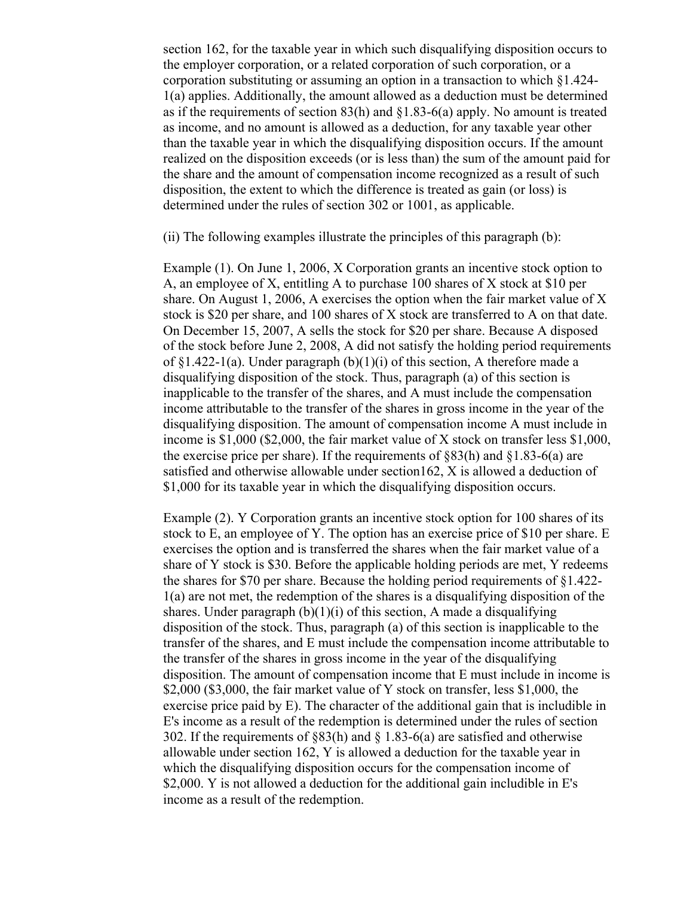section 162, for the taxable year in which such disqualifying disposition occurs to the employer corporation, or a related corporation of such corporation, or a corporation substituting or assuming an option in a transaction to which §1.424- 1(a) applies. Additionally, the amount allowed as a deduction must be determined as if the requirements of section 83(h) and §1.83-6(a) apply. No amount is treated as income, and no amount is allowed as a deduction, for any taxable year other than the taxable year in which the disqualifying disposition occurs. If the amount realized on the disposition exceeds (or is less than) the sum of the amount paid for the share and the amount of compensation income recognized as a result of such disposition, the extent to which the difference is treated as gain (or loss) is determined under the rules of section 302 or 1001, as applicable.

(ii) The following examples illustrate the principles of this paragraph (b):

Example (1). On June 1, 2006, X Corporation grants an incentive stock option to A, an employee of X, entitling A to purchase 100 shares of X stock at \$10 per share. On August 1, 2006, A exercises the option when the fair market value of X stock is \$20 per share, and 100 shares of X stock are transferred to A on that date. On December 15, 2007, A sells the stock for \$20 per share. Because A disposed of the stock before June 2, 2008, A did not satisfy the holding period requirements of  $\S1.422-1(a)$ . Under paragraph (b)(1)(i) of this section, A therefore made a disqualifying disposition of the stock. Thus, paragraph (a) of this section is inapplicable to the transfer of the shares, and A must include the compensation income attributable to the transfer of the shares in gross income in the year of the disqualifying disposition. The amount of compensation income A must include in income is \$1,000 (\$2,000, the fair market value of X stock on transfer less \$1,000, the exercise price per share). If the requirements of  $883(h)$  and  $81.83-6(a)$  are satisfied and otherwise allowable under section162, X is allowed a deduction of \$1,000 for its taxable year in which the disqualifying disposition occurs.

Example (2). Y Corporation grants an incentive stock option for 100 shares of its stock to E, an employee of Y. The option has an exercise price of \$10 per share. E exercises the option and is transferred the shares when the fair market value of a share of Y stock is \$30. Before the applicable holding periods are met, Y redeems the shares for \$70 per share. Because the holding period requirements of §1.422- 1(a) are not met, the redemption of the shares is a disqualifying disposition of the shares. Under paragraph  $(b)(1)(i)$  of this section, A made a disqualifying disposition of the stock. Thus, paragraph (a) of this section is inapplicable to the transfer of the shares, and E must include the compensation income attributable to the transfer of the shares in gross income in the year of the disqualifying disposition. The amount of compensation income that E must include in income is \$2,000 (\$3,000, the fair market value of Y stock on transfer, less \$1,000, the exercise price paid by E). The character of the additional gain that is includible in E's income as a result of the redemption is determined under the rules of section 302. If the requirements of §83(h) and § 1.83-6(a) are satisfied and otherwise allowable under section 162, Y is allowed a deduction for the taxable year in which the disqualifying disposition occurs for the compensation income of \$2,000. Y is not allowed a deduction for the additional gain includible in E's income as a result of the redemption.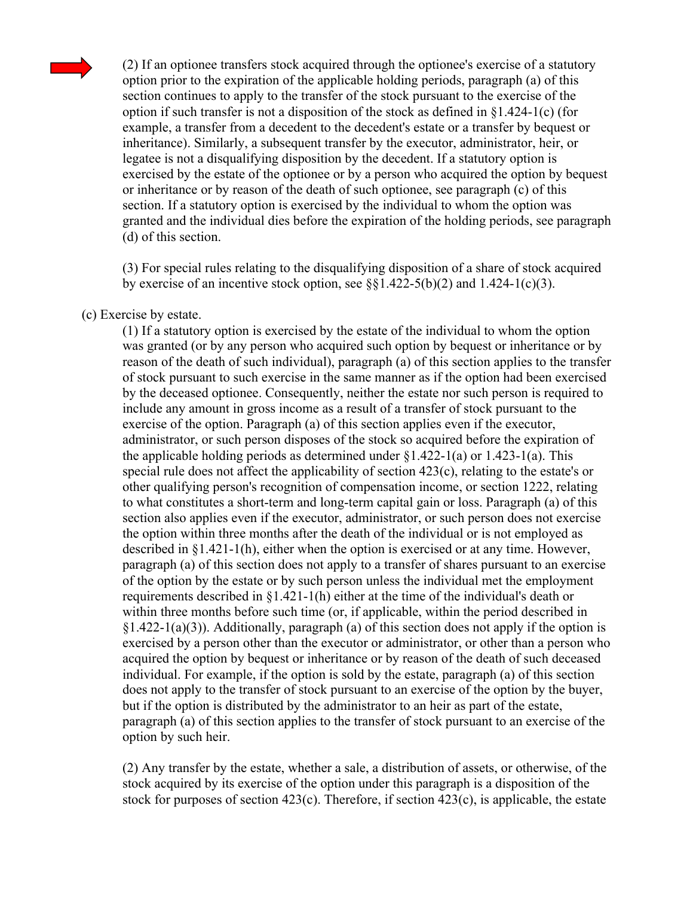

(2) If an optionee transfers stock acquired through the optionee's exercise of a statutory option prior to the expiration of the applicable holding periods, paragraph (a) of this section continues to apply to the transfer of the stock pursuant to the exercise of the option if such transfer is not a disposition of the stock as defined in §1.424-1(c) (for example, a transfer from a decedent to the decedent's estate or a transfer by bequest or inheritance). Similarly, a subsequent transfer by the executor, administrator, heir, or legatee is not a disqualifying disposition by the decedent. If a statutory option is exercised by the estate of the optionee or by a person who acquired the option by bequest or inheritance or by reason of the death of such optionee, see paragraph (c) of this section. If a statutory option is exercised by the individual to whom the option was granted and the individual dies before the expiration of the holding periods, see paragraph (d) of this section.

(3) For special rules relating to the disqualifying disposition of a share of stock acquired by exercise of an incentive stock option, see  $\S$ {\stat{1.422-5(b)(2) and 1.424-1(c)(3).

## (c) Exercise by estate.

(1) If a statutory option is exercised by the estate of the individual to whom the option was granted (or by any person who acquired such option by bequest or inheritance or by reason of the death of such individual), paragraph (a) of this section applies to the transfer of stock pursuant to such exercise in the same manner as if the option had been exercised by the deceased optionee. Consequently, neither the estate nor such person is required to include any amount in gross income as a result of a transfer of stock pursuant to the exercise of the option. Paragraph (a) of this section applies even if the executor, administrator, or such person disposes of the stock so acquired before the expiration of the applicable holding periods as determined under  $\S1.422-1(a)$  or  $1.423-1(a)$ . This special rule does not affect the applicability of section 423(c), relating to the estate's or other qualifying person's recognition of compensation income, or section 1222, relating to what constitutes a short-term and long-term capital gain or loss. Paragraph (a) of this section also applies even if the executor, administrator, or such person does not exercise the option within three months after the death of the individual or is not employed as described in §1.421-1(h), either when the option is exercised or at any time. However, paragraph (a) of this section does not apply to a transfer of shares pursuant to an exercise of the option by the estate or by such person unless the individual met the employment requirements described in  $\S1.421-1(h)$  either at the time of the individual's death or within three months before such time (or, if applicable, within the period described in  $§1.422-1(a)(3)$ ). Additionally, paragraph (a) of this section does not apply if the option is exercised by a person other than the executor or administrator, or other than a person who acquired the option by bequest or inheritance or by reason of the death of such deceased individual. For example, if the option is sold by the estate, paragraph (a) of this section does not apply to the transfer of stock pursuant to an exercise of the option by the buyer, but if the option is distributed by the administrator to an heir as part of the estate, paragraph (a) of this section applies to the transfer of stock pursuant to an exercise of the option by such heir.

(2) Any transfer by the estate, whether a sale, a distribution of assets, or otherwise, of the stock acquired by its exercise of the option under this paragraph is a disposition of the stock for purposes of section  $423(c)$ . Therefore, if section  $423(c)$ , is applicable, the estate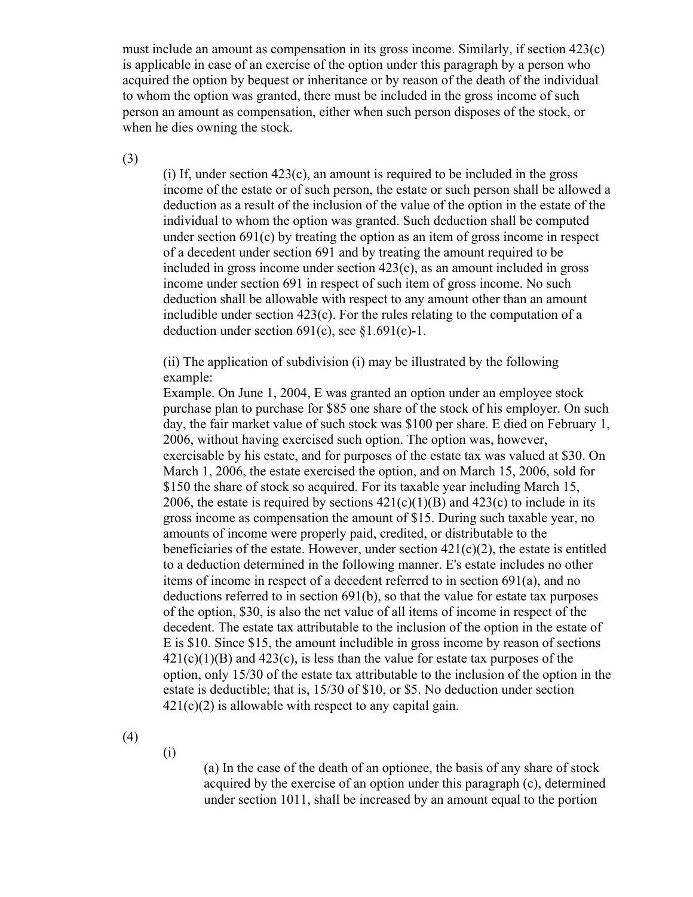must include an amount as compensation in its gross income. Similarly, if section 423(c) is applicable in case of an exercise of the option under this paragraph by a person who acquired the option by bequest or inheritance or by reason of the death of the individual to whom the option was granted, there must be included in the gross income of such person an amount as compensation, either when such person disposes of the stock, or when he dies owning the stock.

(3)

(i) If, under section 423(c), an amount is required to be included in the gross income of the estate or of such person, the estate or such person shall be allowed a deduction as a result of the inclusion of the value of the option in the estate of the individual to whom the option was granted. Such deduction shall be computed under section 691(c) by treating the option as an item of gross income in respect of a decedent under section 691 and by treating the amount required to be included in gross income under section 423(c), as an amount included in gross income under section 691 in respect of such item of gross income. No such deduction shall be allowable with respect to any amount other than an amount includible under section 423(c). For the rules relating to the computation of a deduction under section  $691(c)$ , see §1.691(c)-1.

(ii) The application of subdivision (i) may be illustrated by the following example:

Example. On June 1, 2004, E was granted an option under an employee stock purchase plan to purchase for \$85 one share of the stock of his employer. On such day, the fair market value of such stock was \$100 per share. E died on February 1, 2006, without having exercised such option. The option was, however, exercisable by his estate, and for purposes of the estate tax was valued at \$30. On March 1, 2006, the estate exercised the option, and on March 15, 2006, sold for \$150 the share of stock so acquired. For its taxable year including March 15, 2006, the estate is required by sections  $421(c)(1)(B)$  and  $423(c)$  to include in its gross income as compensation the amount of \$15. During such taxable year, no amounts of income were properly paid, credited, or distributable to the beneficiaries of the estate. However, under section  $421(c)(2)$ , the estate is entitled to a deduction determined in the following manner. E's estate includes no other items of income in respect of a decedent referred to in section 691(a), and no deductions referred to in section 691(b), so that the value for estate tax purposes of the option, \$30, is also the net value of all items of income in respect of the decedent. The estate tax attributable to the inclusion of the option in the estate of E is \$10. Since \$15, the amount includible in gross income by reason of sections  $421(c)(1)(B)$  and  $423(c)$ , is less than the value for estate tax purposes of the option, only 15/30 of the estate tax attributable to the inclusion of the option in the estate is deductible; that is, 15/30 of \$10, or \$5. No deduction under section 421(c)(2) is allowable with respect to any capital gain.

(4)

(i)

(a) In the case of the death of an optionee, the basis of any share of stock acquired by the exercise of an option under this paragraph (c), determined under section 1011, shall be increased by an amount equal to the portion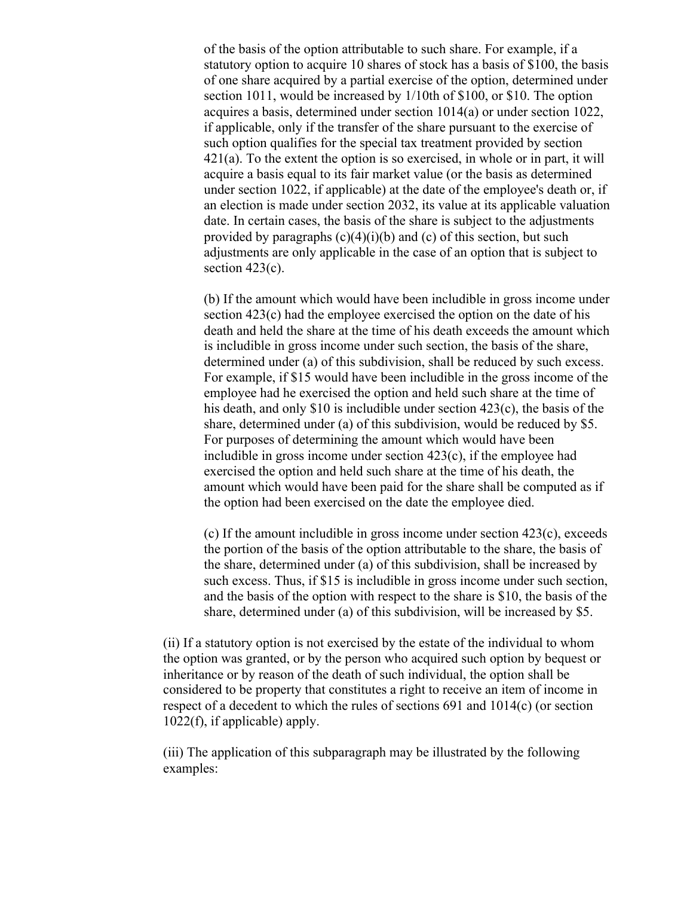of the basis of the option attributable to such share. For example, if a statutory option to acquire 10 shares of stock has a basis of \$100, the basis of one share acquired by a partial exercise of the option, determined under section 1011, would be increased by 1/10th of \$100, or \$10. The option acquires a basis, determined under section 1014(a) or under section 1022, if applicable, only if the transfer of the share pursuant to the exercise of such option qualifies for the special tax treatment provided by section 421(a). To the extent the option is so exercised, in whole or in part, it will acquire a basis equal to its fair market value (or the basis as determined under section 1022, if applicable) at the date of the employee's death or, if an election is made under section 2032, its value at its applicable valuation date. In certain cases, the basis of the share is subject to the adjustments provided by paragraphs  $(c)(4)(i)(b)$  and  $(c)$  of this section, but such adjustments are only applicable in the case of an option that is subject to section 423(c).

(b) If the amount which would have been includible in gross income under section 423(c) had the employee exercised the option on the date of his death and held the share at the time of his death exceeds the amount which is includible in gross income under such section, the basis of the share, determined under (a) of this subdivision, shall be reduced by such excess. For example, if \$15 would have been includible in the gross income of the employee had he exercised the option and held such share at the time of his death, and only \$10 is includible under section 423(c), the basis of the share, determined under (a) of this subdivision, would be reduced by \$5. For purposes of determining the amount which would have been includible in gross income under section 423(c), if the employee had exercised the option and held such share at the time of his death, the amount which would have been paid for the share shall be computed as if the option had been exercised on the date the employee died.

(c) If the amount includible in gross income under section 423(c), exceeds the portion of the basis of the option attributable to the share, the basis of the share, determined under (a) of this subdivision, shall be increased by such excess. Thus, if \$15 is includible in gross income under such section, and the basis of the option with respect to the share is \$10, the basis of the share, determined under (a) of this subdivision, will be increased by \$5.

(ii) If a statutory option is not exercised by the estate of the individual to whom the option was granted, or by the person who acquired such option by bequest or inheritance or by reason of the death of such individual, the option shall be considered to be property that constitutes a right to receive an item of income in respect of a decedent to which the rules of sections 691 and 1014(c) (or section 1022(f), if applicable) apply.

(iii) The application of this subparagraph may be illustrated by the following examples: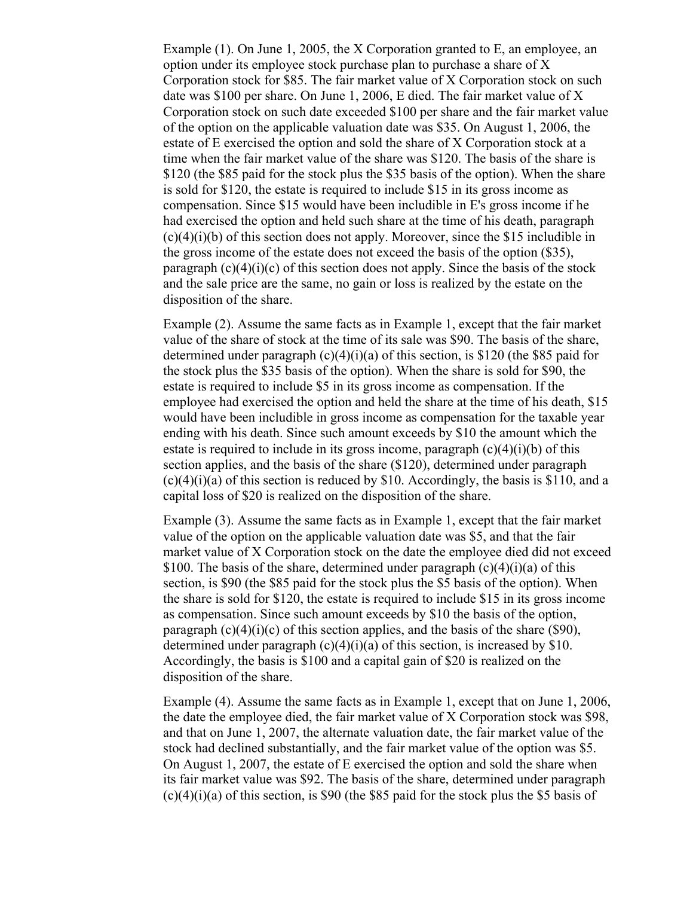Example (1). On June 1, 2005, the X Corporation granted to E, an employee, an option under its employee stock purchase plan to purchase a share of X Corporation stock for \$85. The fair market value of X Corporation stock on such date was \$100 per share. On June 1, 2006, E died. The fair market value of X Corporation stock on such date exceeded \$100 per share and the fair market value of the option on the applicable valuation date was \$35. On August 1, 2006, the estate of E exercised the option and sold the share of X Corporation stock at a time when the fair market value of the share was \$120. The basis of the share is \$120 (the \$85 paid for the stock plus the \$35 basis of the option). When the share is sold for \$120, the estate is required to include \$15 in its gross income as compensation. Since \$15 would have been includible in E's gross income if he had exercised the option and held such share at the time of his death, paragraph  $(c)(4)(i)(b)$  of this section does not apply. Moreover, since the \$15 includible in the gross income of the estate does not exceed the basis of the option (\$35), paragraph  $(c)(4)(i)(c)$  of this section does not apply. Since the basis of the stock and the sale price are the same, no gain or loss is realized by the estate on the disposition of the share.

Example (2). Assume the same facts as in Example 1, except that the fair market value of the share of stock at the time of its sale was \$90. The basis of the share, determined under paragraph (c)(4)(i)(a) of this section, is \$120 (the \$85 paid for the stock plus the \$35 basis of the option). When the share is sold for \$90, the estate is required to include \$5 in its gross income as compensation. If the employee had exercised the option and held the share at the time of his death, \$15 would have been includible in gross income as compensation for the taxable year ending with his death. Since such amount exceeds by \$10 the amount which the estate is required to include in its gross income, paragraph  $(c)(4)(i)(b)$  of this section applies, and the basis of the share (\$120), determined under paragraph  $(c)(4)(i)(a)$  of this section is reduced by \$10. Accordingly, the basis is \$110, and a capital loss of \$20 is realized on the disposition of the share.

Example (3). Assume the same facts as in Example 1, except that the fair market value of the option on the applicable valuation date was \$5, and that the fair market value of X Corporation stock on the date the employee died did not exceed \$100. The basis of the share, determined under paragraph  $(c)(4)(i)(a)$  of this section, is \$90 (the \$85 paid for the stock plus the \$5 basis of the option). When the share is sold for \$120, the estate is required to include \$15 in its gross income as compensation. Since such amount exceeds by \$10 the basis of the option, paragraph  $(c)(4)(i)(c)$  of this section applies, and the basis of the share (\$90), determined under paragraph  $(c)(4)(i)(a)$  of this section, is increased by \$10. Accordingly, the basis is \$100 and a capital gain of \$20 is realized on the disposition of the share.

Example (4). Assume the same facts as in Example 1, except that on June 1, 2006, the date the employee died, the fair market value of X Corporation stock was \$98, and that on June 1, 2007, the alternate valuation date, the fair market value of the stock had declined substantially, and the fair market value of the option was \$5. On August 1, 2007, the estate of E exercised the option and sold the share when its fair market value was \$92. The basis of the share, determined under paragraph  $(c)(4)(i)(a)$  of this section, is \$90 (the \$85 paid for the stock plus the \$5 basis of